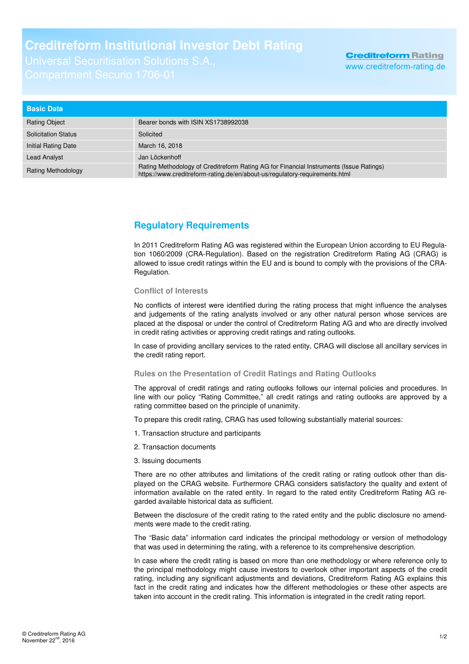## **Creditreform Institutional Investor Debt Rating**

| <b>Basic Data</b>          |                                                                                                                                                                       |
|----------------------------|-----------------------------------------------------------------------------------------------------------------------------------------------------------------------|
| <b>Rating Object</b>       | Bearer bonds with ISIN XS1738992038                                                                                                                                   |
| <b>Solicitation Status</b> | Solicited                                                                                                                                                             |
| Initial Rating Date        | March 16, 2018                                                                                                                                                        |
| <b>Lead Analyst</b>        | Jan Löckenhoff                                                                                                                                                        |
| <b>Rating Methodology</b>  | Rating Methodology of Creditreform Rating AG for Financial Instruments (Issue Ratings)<br>https://www.creditreform-rating.de/en/about-us/regulatory-reguirements.html |

## **Regulatory Requirements**

In 2011 Creditreform Rating AG was registered within the European Union according to EU Regulation 1060/2009 (CRA-Regulation). Based on the registration Creditreform Rating AG (CRAG) is allowed to issue credit ratings within the EU and is bound to comply with the provisions of the CRA-Regulation.

## **Conflict of Interests**

No conflicts of interest were identified during the rating process that might influence the analyses and judgements of the rating analysts involved or any other natural person whose services are placed at the disposal or under the control of Creditreform Rating AG and who are directly involved in credit rating activities or approving credit ratings and rating outlooks.

In case of providing ancillary services to the rated entity, CRAG will disclose all ancillary services in the credit rating report.

## **Rules on the Presentation of Credit Ratings and Rating Outlooks**

The approval of credit ratings and rating outlooks follows our internal policies and procedures. In line with our policy "Rating Committee," all credit ratings and rating outlooks are approved by a rating committee based on the principle of unanimity.

To prepare this credit rating, CRAG has used following substantially material sources:

- 1. Transaction structure and participants
- 2. Transaction documents
- 3. Issuing documents

There are no other attributes and limitations of the credit rating or rating outlook other than displayed on the CRAG website. Furthermore CRAG considers satisfactory the quality and extent of information available on the rated entity. In regard to the rated entity Creditreform Rating AG regarded available historical data as sufficient.

Between the disclosure of the credit rating to the rated entity and the public disclosure no amendments were made to the credit rating.

The "Basic data" information card indicates the principal methodology or version of methodology that was used in determining the rating, with a reference to its comprehensive description.

In case where the credit rating is based on more than one methodology or where reference only to the principal methodology might cause investors to overlook other important aspects of the credit rating, including any significant adjustments and deviations, Creditreform Rating AG explains this fact in the credit rating and indicates how the different methodologies or these other aspects are taken into account in the credit rating. This information is integrated in the credit rating report.